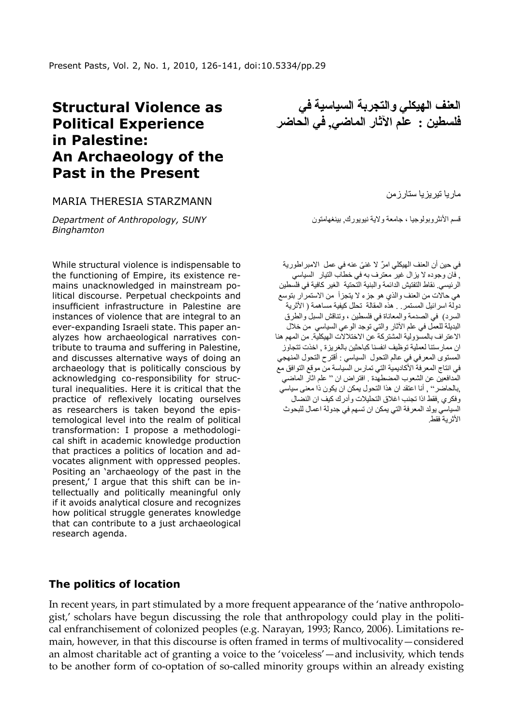# **Structural Violence as Political Experience in Palestine: An Archaeology of the Past in the Present**

#### Maria Theresia Starzmann

*Department of Anthropology, SUNY Binghamton*

While structural violence is indispensable to the functioning of Empire, its existence remains unacknowledged in mainstream political discourse. Perpetual checkpoints and insufficient infrastructure in Palestine are instances of violence that are integral to an ever-expanding Israeli state. This paper analyzes how archaeological narratives contribute to trauma and suffering in Palestine, and discusses alternative ways of doing an archaeology that is politically conscious by acknowledging co-responsibility for structural inequalities. Here it is critical that the practice of reflexively locating ourselves as researchers is taken beyond the epistemological level into the realm of political transformation: I propose a methodological shift in academic knowledge production that practices a politics of location and advocates alignment with oppressed peoples. Positing an 'archaeology of the past in the present,' I argue that this shift can be intellectually and politically meaningful only if it avoids analytical closure and recognizes how political struggle generates knowledge that can contribute to a just archaeological research agenda.

**العنف الهيكلي والتجربة السياسية في فلسطين : علم اآلثار الماضي, في الحاضر**

ماريا تيريزيا ستارزمن

قسم الأنثروبولوجيا ، جامعة ولاية نيويورك, بينغهامتون

ٌ في حين أن العنف الهيكلي امر ً ال غنى عنه في عمل االمبراطورية , فان وجوده ال يزال غير معترف به في خطاب التيار السياسي الرئيسي. نقاط التفتيش الدائمة والبنية التحتية الغير كافية في فلسطين هي حاالت من العنف والذي هو جزء ال يتجزأ من االستمرار بتوسع دولة اسرائيل المستمر . هذه المقالة تحلل كيفية مساهمة ( الأثرية السرد) في الصدمة والمعاناة في فلسطين ، وتناقش السبل والطرق البديلة للعمل في علم اآلثار والتي توجد الوعي السياسي من خالل االعتراف بالمسؤولية المشتركة عن االختالالت الهيكلية. من المهم هنا ان ممارستنا لعملية توظيف انفسنا كباحثين بالغريزة , اخذت تتجاوز المستوى المعرفي في عالم التحول السياسي : أقترح التحول المنهجي في انتاج المعرفة الأكاديمية التي تمارس السياسة من موقع التوافق مع المدافعين عن الشعوب المضطهدة . افتراض ان " علم اثار الماضي ,بالحاضر" , أنا اعتقد ان هذا التحول يمكن ان يكون ذا معنى سياسي وفكري ,فقط اذا تجنب اغالق التحليالت وأدرك كيف ان النضال السياسي يولد المعرفة التي يمكن ان تسهم في جدولة اعمال للبحوث األثرية فقط.

### **The politics of location**

In recent years, in part stimulated by a more frequent appearance of the 'native anthropologist,' scholars have begun discussing the role that anthropology could play in the political enfranchisement of colonized peoples (e.g. Narayan, 1993; Ranco, 2006). Limitations remain, however, in that this discourse is often framed in terms of multivocality—considered an almost charitable act of granting a voice to the 'voiceless'—and inclusivity, which tends to be another form of co-optation of so-called minority groups within an already existing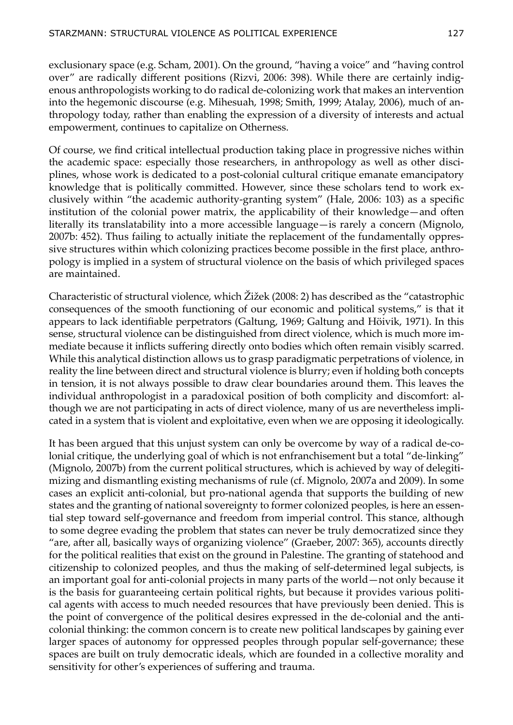exclusionary space (e.g. Scham, 2001). On the ground, "having a voice" and "having control over" are radically different positions (Rizvi, 2006: 398). While there are certainly indigenous anthropologists working to do radical de-colonizing work that makes an intervention into the hegemonic discourse (e.g. Mihesuah, 1998; Smith, 1999; Atalay, 2006), much of anthropology today, rather than enabling the expression of a diversity of interests and actual empowerment, continues to capitalize on Otherness.

Of course, we find critical intellectual production taking place in progressive niches within the academic space: especially those researchers, in anthropology as well as other disciplines, whose work is dedicated to a post-colonial cultural critique emanate emancipatory knowledge that is politically committed. However, since these scholars tend to work exclusively within "the academic authority-granting system" (Hale, 2006: 103) as a specific institution of the colonial power matrix, the applicability of their knowledge—and often literally its translatability into a more accessible language—is rarely a concern (Mignolo, 2007b: 452). Thus failing to actually initiate the replacement of the fundamentally oppressive structures within which colonizing practices become possible in the first place, anthropology is implied in a system of structural violence on the basis of which privileged spaces are maintained.

Characteristic of structural violence, which Žižek (2008: 2) has described as the "catastrophic consequences of the smooth functioning of our economic and political systems," is that it appears to lack identifiable perpetrators (Galtung, 1969; Galtung and Höivik, 1971). In this sense, structural violence can be distinguished from direct violence, which is much more immediate because it inflicts suffering directly onto bodies which often remain visibly scarred. While this analytical distinction allows us to grasp paradigmatic perpetrations of violence, in reality the line between direct and structural violence is blurry; even if holding both concepts in tension, it is not always possible to draw clear boundaries around them. This leaves the individual anthropologist in a paradoxical position of both complicity and discomfort: although we are not participating in acts of direct violence, many of us are nevertheless implicated in a system that is violent and exploitative, even when we are opposing it ideologically.

It has been argued that this unjust system can only be overcome by way of a radical de-colonial critique, the underlying goal of which is not enfranchisement but a total "de-linking" (Mignolo, 2007b) from the current political structures, which is achieved by way of delegitimizing and dismantling existing mechanisms of rule (cf. Mignolo, 2007a and 2009). In some cases an explicit anti-colonial, but pro-national agenda that supports the building of new states and the granting of national sovereignty to former colonized peoples, is here an essential step toward self-governance and freedom from imperial control. This stance, although to some degree evading the problem that states can never be truly democratized since they "are, after all, basically ways of organizing violence" (Graeber, 2007: 365), accounts directly for the political realities that exist on the ground in Palestine. The granting of statehood and citizenship to colonized peoples, and thus the making of self-determined legal subjects, is an important goal for anti-colonial projects in many parts of the world—not only because it is the basis for guaranteeing certain political rights, but because it provides various political agents with access to much needed resources that have previously been denied. This is the point of convergence of the political desires expressed in the de-colonial and the anticolonial thinking: the common concern is to create new political landscapes by gaining ever larger spaces of autonomy for oppressed peoples through popular self-governance; these spaces are built on truly democratic ideals, which are founded in a collective morality and sensitivity for other's experiences of suffering and trauma.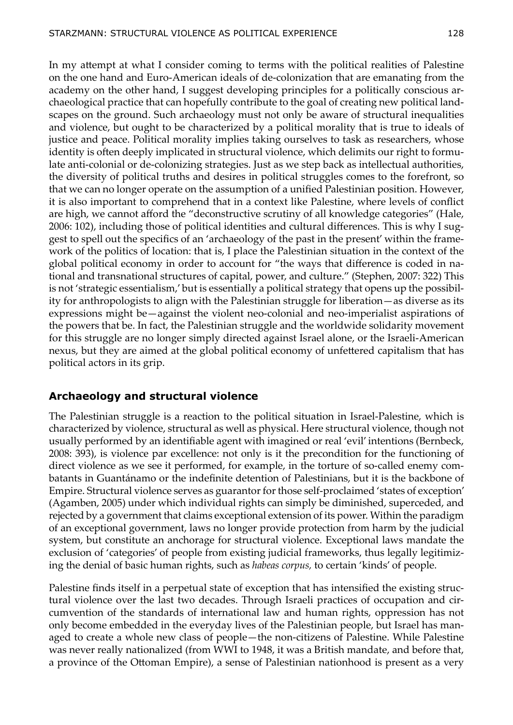In my attempt at what I consider coming to terms with the political realities of Palestine on the one hand and Euro-American ideals of de-colonization that are emanating from the academy on the other hand, I suggest developing principles for a politically conscious archaeological practice that can hopefully contribute to the goal of creating new political landscapes on the ground. Such archaeology must not only be aware of structural inequalities and violence, but ought to be characterized by a political morality that is true to ideals of justice and peace. Political morality implies taking ourselves to task as researchers, whose identity is often deeply implicated in structural violence, which delimits our right to formulate anti-colonial or de-colonizing strategies. Just as we step back as intellectual authorities, the diversity of political truths and desires in political struggles comes to the forefront, so that we can no longer operate on the assumption of a unified Palestinian position. However, it is also important to comprehend that in a context like Palestine, where levels of conflict are high, we cannot afford the "deconstructive scrutiny of all knowledge categories" (Hale, 2006: 102), including those of political identities and cultural differences. This is why I suggest to spell out the specifics of an 'archaeology of the past in the present' within the framework of the politics of location: that is, I place the Palestinian situation in the context of the global political economy in order to account for "the ways that difference is coded in national and transnational structures of capital, power, and culture." (Stephen, 2007: 322) This is not 'strategic essentialism,' but is essentially a political strategy that opens up the possibility for anthropologists to align with the Palestinian struggle for liberation—as diverse as its expressions might be—against the violent neo-colonial and neo-imperialist aspirations of the powers that be. In fact, the Palestinian struggle and the worldwide solidarity movement for this struggle are no longer simply directed against Israel alone, or the Israeli-American nexus, but they are aimed at the global political economy of unfettered capitalism that has political actors in its grip.

## **Archaeology and structural violence**

The Palestinian struggle is a reaction to the political situation in Israel-Palestine, which is characterized by violence, structural as well as physical. Here structural violence, though not usually performed by an identifiable agent with imagined or real 'evil' intentions (Bernbeck, 2008: 393), is violence par excellence: not only is it the precondition for the functioning of direct violence as we see it performed, for example, in the torture of so-called enemy combatants in Guantánamo or the indefinite detention of Palestinians, but it is the backbone of Empire. Structural violence serves as guarantor for those self-proclaimed 'states of exception' (Agamben, 2005) under which individual rights can simply be diminished, superceded, and rejected by a government that claims exceptional extension of its power. Within the paradigm of an exceptional government, laws no longer provide protection from harm by the judicial system, but constitute an anchorage for structural violence. Exceptional laws mandate the exclusion of 'categories' of people from existing judicial frameworks, thus legally legitimizing the denial of basic human rights, such as *habeas corpus,* to certain 'kinds' of people.

Palestine finds itself in a perpetual state of exception that has intensified the existing structural violence over the last two decades. Through Israeli practices of occupation and circumvention of the standards of international law and human rights, oppression has not only become embedded in the everyday lives of the Palestinian people, but Israel has managed to create a whole new class of people—the non-citizens of Palestine. While Palestine was never really nationalized (from WWI to 1948, it was a British mandate, and before that, a province of the Ottoman Empire), a sense of Palestinian nationhood is present as a very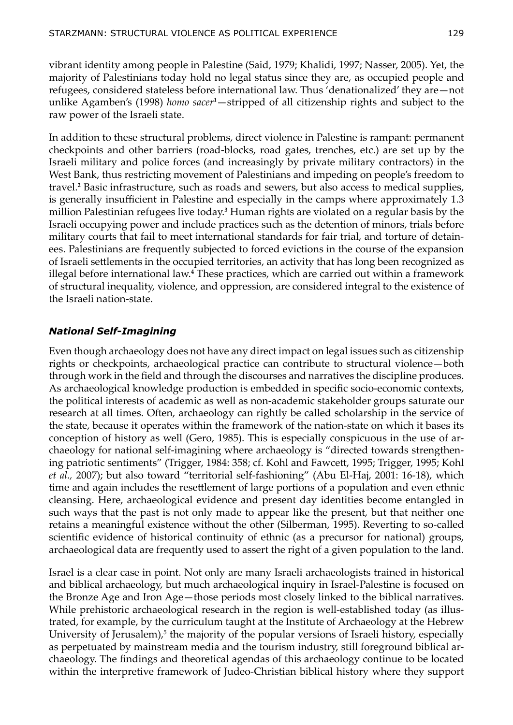vibrant identity among people in Palestine (Said, 1979; Khalidi, 1997; Nasser, 2005). Yet, the majority of Palestinians today hold no legal status since they are, as occupied people and refugees, considered stateless before international law. Thus 'denationalized' they are—not unlike Agamben's (1998) *homo sacer<sup>1</sup>* —stripped of all citizenship rights and subject to the raw power of the Israeli state.

In addition to these structural problems, direct violence in Palestine is rampant: permanent checkpoints and other barriers (road-blocks, road gates, trenches, etc.) are set up by the Israeli military and police forces (and increasingly by private military contractors) in the West Bank, thus restricting movement of Palestinians and impeding on people's freedom to travel.**<sup>2</sup>** Basic infrastructure, such as roads and sewers, but also access to medical supplies, is generally insufficient in Palestine and especially in the camps where approximately 1.3 million Palestinian refugees live today.**<sup>3</sup>** Human rights are violated on a regular basis by the Israeli occupying power and include practices such as the detention of minors, trials before military courts that fail to meet international standards for fair trial, and torture of detainees. Palestinians are frequently subjected to forced evictions in the course of the expansion of Israeli settlements in the occupied territories, an activity that has long been recognized as illegal before international law.**<sup>4</sup>** These practices, which are carried out within a framework of structural inequality, violence, and oppression, are considered integral to the existence of the Israeli nation-state.

### *National Self-Imagining*

Even though archaeology does not have any direct impact on legal issues such as citizenship rights or checkpoints, archaeological practice can contribute to structural violence—both through work in the field and through the discourses and narratives the discipline produces. As archaeological knowledge production is embedded in specific socio-economic contexts, the political interests of academic as well as non-academic stakeholder groups saturate our research at all times. Often, archaeology can rightly be called scholarship in the service of the state, because it operates within the framework of the nation-state on which it bases its conception of history as well (Gero, 1985). This is especially conspicuous in the use of archaeology for national self-imagining where archaeology is "directed towards strengthening patriotic sentiments" (Trigger, 1984: 358; cf. Kohl and Fawcett, 1995; Trigger, 1995; Kohl *et al.,* 2007); but also toward "territorial self-fashioning" (Abu El-Haj, 2001: 16-18), which time and again includes the resettlement of large portions of a population and even ethnic cleansing. Here, archaeological evidence and present day identities become entangled in such ways that the past is not only made to appear like the present, but that neither one retains a meaningful existence without the other (Silberman, 1995). Reverting to so-called scientific evidence of historical continuity of ethnic (as a precursor for national) groups, archaeological data are frequently used to assert the right of a given population to the land.

Israel is a clear case in point. Not only are many Israeli archaeologists trained in historical and biblical archaeology, but much archaeological inquiry in Israel-Palestine is focused on the Bronze Age and Iron Age—those periods most closely linked to the biblical narratives. While prehistoric archaeological research in the region is well-established today (as illustrated, for example, by the curriculum taught at the Institute of Archaeology at the Hebrew University of Jerusalem),<sup>5</sup> the majority of the popular versions of Israeli history, especially as perpetuated by mainstream media and the tourism industry, still foreground biblical archaeology. The findings and theoretical agendas of this archaeology continue to be located within the interpretive framework of Judeo-Christian biblical history where they support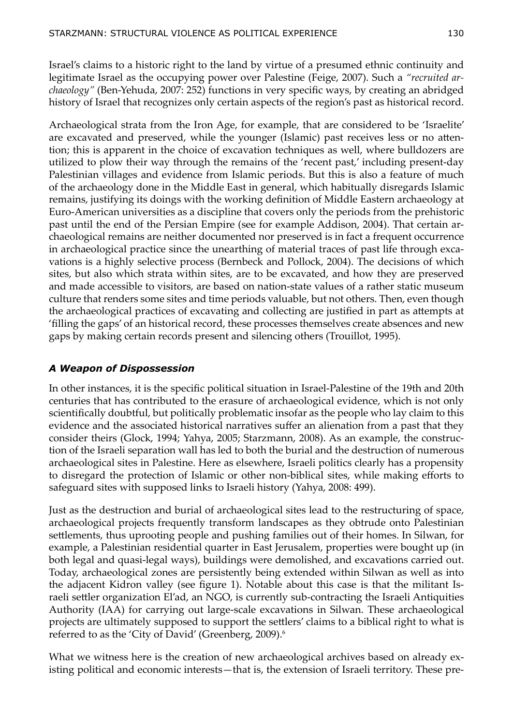Israel's claims to a historic right to the land by virtue of a presumed ethnic continuity and legitimate Israel as the occupying power over Palestine (Feige, 2007). Such a *"recruited archaeology"* (Ben-Yehuda, 2007: 252) functions in very specific ways, by creating an abridged history of Israel that recognizes only certain aspects of the region's past as historical record.

Archaeological strata from the Iron Age, for example, that are considered to be 'Israelite' are excavated and preserved, while the younger (Islamic) past receives less or no attention; this is apparent in the choice of excavation techniques as well, where bulldozers are utilized to plow their way through the remains of the 'recent past,' including present-day Palestinian villages and evidence from Islamic periods. But this is also a feature of much of the archaeology done in the Middle East in general, which habitually disregards Islamic remains, justifying its doings with the working definition of Middle Eastern archaeology at Euro-American universities as a discipline that covers only the periods from the prehistoric past until the end of the Persian Empire (see for example Addison, 2004). That certain archaeological remains are neither documented nor preserved is in fact a frequent occurrence in archaeological practice since the unearthing of material traces of past life through excavations is a highly selective process (Bernbeck and Pollock, 2004). The decisions of which sites, but also which strata within sites, are to be excavated, and how they are preserved and made accessible to visitors, are based on nation-state values of a rather static museum culture that renders some sites and time periods valuable, but not others. Then, even though the archaeological practices of excavating and collecting are justified in part as attempts at 'filling the gaps' of an historical record, these processes themselves create absences and new gaps by making certain records present and silencing others (Trouillot, 1995).

#### *A Weapon of Dispossession*

In other instances, it is the specific political situation in Israel-Palestine of the 19th and 20th centuries that has contributed to the erasure of archaeological evidence, which is not only scientifically doubtful, but politically problematic insofar as the people who lay claim to this evidence and the associated historical narratives suffer an alienation from a past that they consider theirs (Glock, 1994; Yahya, 2005; Starzmann, 2008). As an example, the construction of the Israeli separation wall has led to both the burial and the destruction of numerous archaeological sites in Palestine. Here as elsewhere, Israeli politics clearly has a propensity to disregard the protection of Islamic or other non-biblical sites, while making efforts to safeguard sites with supposed links to Israeli history (Yahya, 2008: 499).

Just as the destruction and burial of archaeological sites lead to the restructuring of space, archaeological projects frequently transform landscapes as they obtrude onto Palestinian settlements, thus uprooting people and pushing families out of their homes. In Silwan, for example, a Palestinian residential quarter in East Jerusalem, properties were bought up (in both legal and quasi-legal ways), buildings were demolished, and excavations carried out. Today, archaeological zones are persistently being extended within Silwan as well as into the adjacent Kidron valley (see figure 1). Notable about this case is that the militant Israeli settler organization El'ad, an NGO, is currently sub-contracting the Israeli Antiquities Authority (IAA) for carrying out large-scale excavations in Silwan. These archaeological projects are ultimately supposed to support the settlers' claims to a biblical right to what is referred to as the 'City of David' (Greenberg, 2009).<sup>6</sup>

What we witness here is the creation of new archaeological archives based on already existing political and economic interests—that is, the extension of Israeli territory. These pre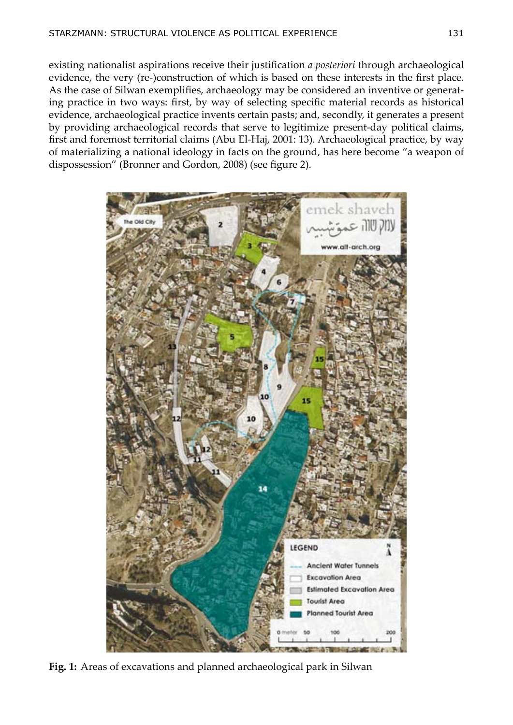existing nationalist aspirations receive their justification *a posteriori* through archaeological evidence, the very (re-)construction of which is based on these interests in the first place. As the case of Silwan exemplifies, archaeology may be considered an inventive or generating practice in two ways: first, by way of selecting specific material records as historical evidence, archaeological practice invents certain pasts; and, secondly, it generates a present by providing archaeological records that serve to legitimize present-day political claims, first and foremost territorial claims (Abu El-Haj, 2001: 13). Archaeological practice, by way of materializing a national ideology in facts on the ground, has here become "a weapon of dispossession" (Bronner and Gordon, 2008) (see figure 2).



**Fig. 1:** Areas of excavations and planned archaeological park in Silwan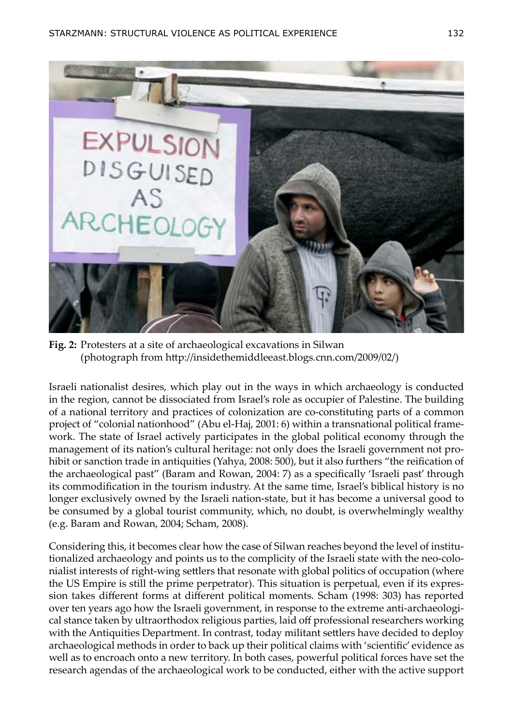

**Fig. 2:** Protesters at a site of archaeological excavations in Silwan (photograph from [http://insidethemiddleeast.blogs.cnn.com/2009/02/\)](http://insidethemiddleeast.blogs.cnn.com/2009/02/)

Israeli nationalist desires, which play out in the ways in which archaeology is conducted in the region, cannot be dissociated from Israel's role as occupier of Palestine. The building of a national territory and practices of colonization are co-constituting parts of a common project of "colonial nationhood" (Abu el-Haj, 2001: 6) within a transnational political framework. The state of Israel actively participates in the global political economy through the management of its nation's cultural heritage: not only does the Israeli government not prohibit or sanction trade in antiquities (Yahya, 2008: 500), but it also furthers "the reification of the archaeological past" (Baram and Rowan, 2004: 7) as a specifically 'Israeli past' through its commodification in the tourism industry. At the same time, Israel's biblical history is no longer exclusively owned by the Israeli nation-state, but it has become a universal good to be consumed by a global tourist community, which, no doubt, is overwhelmingly wealthy (e.g. Baram and Rowan, 2004; Scham, 2008).

Considering this, it becomes clear how the case of Silwan reaches beyond the level of institutionalized archaeology and points us to the complicity of the Israeli state with the neo-colonialist interests of right-wing settlers that resonate with global politics of occupation (where the US Empire is still the prime perpetrator). This situation is perpetual, even if its expression takes different forms at different political moments. Scham (1998: 303) has reported over ten years ago how the Israeli government, in response to the extreme anti-archaeological stance taken by ultraorthodox religious parties, laid off professional researchers working with the Antiquities Department. In contrast, today militant settlers have decided to deploy archaeological methods in order to back up their political claims with 'scientific' evidence as well as to encroach onto a new territory. In both cases, powerful political forces have set the research agendas of the archaeological work to be conducted, either with the active support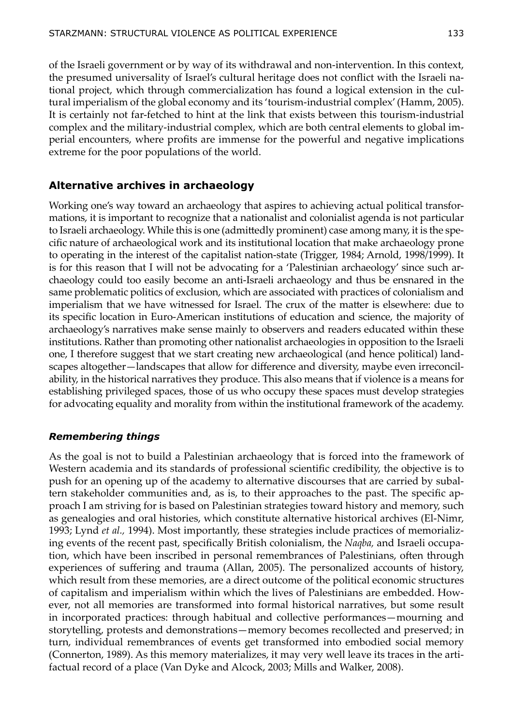of the Israeli government or by way of its withdrawal and non-intervention. In this context, the presumed universality of Israel's cultural heritage does not conflict with the Israeli national project, which through commercialization has found a logical extension in the cultural imperialism of the global economy and its 'tourism-industrial complex' (Hamm, 2005). It is certainly not far-fetched to hint at the link that exists between this tourism-industrial complex and the military-industrial complex, which are both central elements to global imperial encounters, where profits are immense for the powerful and negative implications extreme for the poor populations of the world.

## **Alternative archives in archaeology**

Working one's way toward an archaeology that aspires to achieving actual political transformations, it is important to recognize that a nationalist and colonialist agenda is not particular to Israeli archaeology. While this is one (admittedly prominent) case among many, it is the specific nature of archaeological work and its institutional location that make archaeology prone to operating in the interest of the capitalist nation-state (Trigger, 1984; Arnold, 1998/1999). It is for this reason that I will not be advocating for a 'Palestinian archaeology' since such archaeology could too easily become an anti-Israeli archaeology and thus be ensnared in the same problematic politics of exclusion, which are associated with practices of colonialism and imperialism that we have witnessed for Israel. The crux of the matter is elsewhere: due to its specific location in Euro-American institutions of education and science, the majority of archaeology's narratives make sense mainly to observers and readers educated within these institutions. Rather than promoting other nationalist archaeologies in opposition to the Israeli one, I therefore suggest that we start creating new archaeological (and hence political) landscapes altogether—landscapes that allow for difference and diversity, maybe even irreconcilability, in the historical narratives they produce. This also means that if violence is a means for establishing privileged spaces, those of us who occupy these spaces must develop strategies for advocating equality and morality from within the institutional framework of the academy.

## *Remembering things*

As the goal is not to build a Palestinian archaeology that is forced into the framework of Western academia and its standards of professional scientific credibility, the objective is to push for an opening up of the academy to alternative discourses that are carried by subaltern stakeholder communities and, as is, to their approaches to the past. The specific approach I am striving for is based on Palestinian strategies toward history and memory, such as genealogies and oral histories, which constitute alternative historical archives (El-Nimr, 1993; Lynd *et al.,* 1994). Most importantly, these strategies include practices of memorializing events of the recent past, specifically British colonialism, the *Naqba,* and Israeli occupation, which have been inscribed in personal remembrances of Palestinians, often through experiences of suffering and trauma (Allan, 2005). The personalized accounts of history, which result from these memories, are a direct outcome of the political economic structures of capitalism and imperialism within which the lives of Palestinians are embedded. However, not all memories are transformed into formal historical narratives, but some result in incorporated practices: through habitual and collective performances—mourning and storytelling, protests and demonstrations—memory becomes recollected and preserved; in turn, individual remembrances of events get transformed into embodied social memory (Connerton, 1989). As this memory materializes, it may very well leave its traces in the artifactual record of a place (Van Dyke and Alcock, 2003; Mills and Walker, 2008).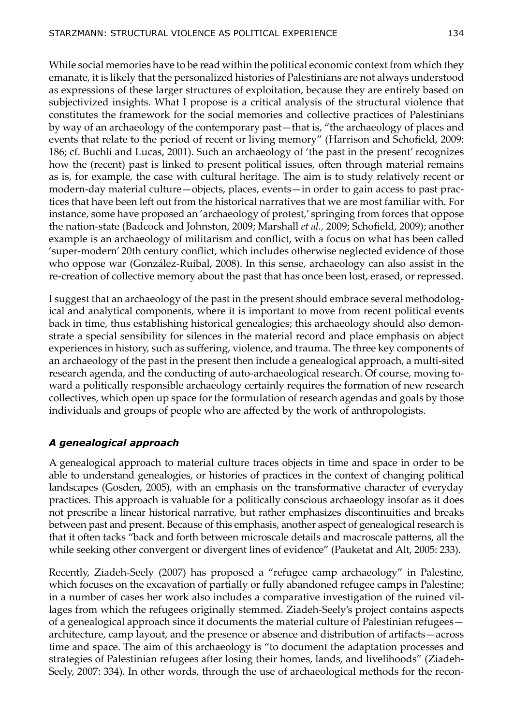While social memories have to be read within the political economic context from which they emanate, it is likely that the personalized histories of Palestinians are not always understood as expressions of these larger structures of exploitation, because they are entirely based on subjectivized insights. What I propose is a critical analysis of the structural violence that constitutes the framework for the social memories and collective practices of Palestinians by way of an archaeology of the contemporary past—that is, "the archaeology of places and events that relate to the period of recent or living memory" (Harrison and Schofield, 2009: 186; cf. Buchli and Lucas, 2001). Such an archaeology of 'the past in the present' recognizes how the (recent) past is linked to present political issues, often through material remains as is, for example, the case with cultural heritage. The aim is to study relatively recent or modern-day material culture—objects, places, events—in order to gain access to past practices that have been left out from the historical narratives that we are most familiar with. For instance, some have proposed an 'archaeology of protest,' springing from forces that oppose the nation-state (Badcock and Johnston, 2009; Marshall *et al.,* 2009; Schofield, 2009); another example is an archaeology of militarism and conflict, with a focus on what has been called 'super-modern' 20th century conflict, which includes otherwise neglected evidence of those who oppose war (González-Ruibal, 2008). In this sense, archaeology can also assist in the re-creation of collective memory about the past that has once been lost, erased, or repressed.

I suggest that an archaeology of the past in the present should embrace several methodological and analytical components, where it is important to move from recent political events back in time, thus establishing historical genealogies; this archaeology should also demonstrate a special sensibility for silences in the material record and place emphasis on abject experiences in history, such as suffering, violence, and trauma. The three key components of an archaeology of the past in the present then include a genealogical approach, a multi-sited research agenda, and the conducting of auto-archaeological research. Of course, moving toward a politically responsible archaeology certainly requires the formation of new research collectives, which open up space for the formulation of research agendas and goals by those individuals and groups of people who are affected by the work of anthropologists.

#### *A genealogical approach*

A genealogical approach to material culture traces objects in time and space in order to be able to understand genealogies, or histories of practices in the context of changing political landscapes (Gosden, 2005), with an emphasis on the transformative character of everyday practices. This approach is valuable for a politically conscious archaeology insofar as it does not prescribe a linear historical narrative, but rather emphasizes discontinuities and breaks between past and present. Because of this emphasis, another aspect of genealogical research is that it often tacks "back and forth between microscale details and macroscale patterns, all the while seeking other convergent or divergent lines of evidence" (Pauketat and Alt, 2005: 233).

Recently, Ziadeh-Seely (2007) has proposed a "refugee camp archaeology" in Palestine, which focuses on the excavation of partially or fully abandoned refugee camps in Palestine; in a number of cases her work also includes a comparative investigation of the ruined villages from which the refugees originally stemmed. Ziadeh-Seely's project contains aspects of a genealogical approach since it documents the material culture of Palestinian refugees architecture, camp layout, and the presence or absence and distribution of artifacts—across time and space. The aim of this archaeology is "to document the adaptation processes and strategies of Palestinian refugees after losing their homes, lands, and livelihoods" (Ziadeh-Seely, 2007: 334). In other words, through the use of archaeological methods for the recon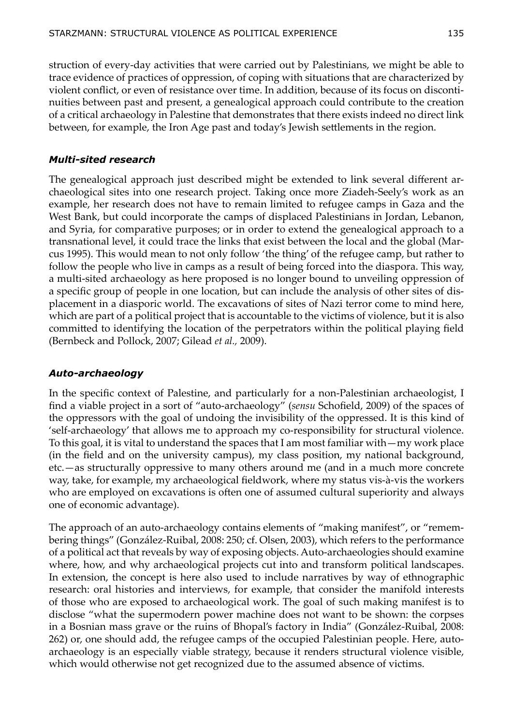struction of every-day activities that were carried out by Palestinians, we might be able to trace evidence of practices of oppression, of coping with situations that are characterized by violent conflict, or even of resistance over time. In addition, because of its focus on discontinuities between past and present, a genealogical approach could contribute to the creation of a critical archaeology in Palestine that demonstrates that there exists indeed no direct link between, for example, the Iron Age past and today's Jewish settlements in the region.

#### *Multi-sited research*

The genealogical approach just described might be extended to link several different archaeological sites into one research project. Taking once more Ziadeh-Seely's work as an example, her research does not have to remain limited to refugee camps in Gaza and the West Bank, but could incorporate the camps of displaced Palestinians in Jordan, Lebanon, and Syria, for comparative purposes; or in order to extend the genealogical approach to a transnational level, it could trace the links that exist between the local and the global (Marcus 1995). This would mean to not only follow 'the thing' of the refugee camp, but rather to follow the people who live in camps as a result of being forced into the diaspora. This way, a multi-sited archaeology as here proposed is no longer bound to unveiling oppression of a specific group of people in one location, but can include the analysis of other sites of displacement in a diasporic world. The excavations of sites of Nazi terror come to mind here, which are part of a political project that is accountable to the victims of violence, but it is also committed to identifying the location of the perpetrators within the political playing field (Bernbeck and Pollock, 2007; Gilead *et al.,* 2009).

## *Auto-archaeology*

In the specific context of Palestine, and particularly for a non-Palestinian archaeologist, I find a viable project in a sort of "auto-archaeology" (*sensu* Schofield, 2009) of the spaces of the oppressors with the goal of undoing the invisibility of the oppressed. It is this kind of 'self-archaeology' that allows me to approach my co-responsibility for structural violence. To this goal, it is vital to understand the spaces that I am most familiar with—my work place (in the field and on the university campus), my class position, my national background, etc.—as structurally oppressive to many others around me (and in a much more concrete way, take, for example, my archaeological fieldwork, where my status vis-à-vis the workers who are employed on excavations is often one of assumed cultural superiority and always one of economic advantage).

The approach of an auto-archaeology contains elements of "making manifest", or "remembering things" (González-Ruibal, 2008: 250; cf. Olsen, 2003), which refers to the performance of a political act that reveals by way of exposing objects. Auto-archaeologies should examine where, how, and why archaeological projects cut into and transform political landscapes. In extension, the concept is here also used to include narratives by way of ethnographic research: oral histories and interviews, for example, that consider the manifold interests of those who are exposed to archaeological work. The goal of such making manifest is to disclose "what the supermodern power machine does not want to be shown: the corpses in a Bosnian mass grave or the ruins of Bhopal's factory in India" (González-Ruibal, 2008: 262) or, one should add, the refugee camps of the occupied Palestinian people. Here, autoarchaeology is an especially viable strategy, because it renders structural violence visible, which would otherwise not get recognized due to the assumed absence of victims.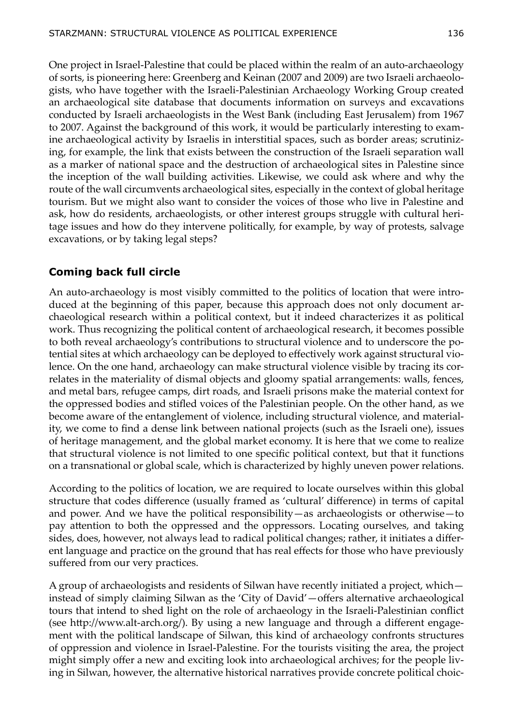One project in Israel-Palestine that could be placed within the realm of an auto-archaeology of sorts, is pioneering here: Greenberg and Keinan (2007 and 2009) are two Israeli archaeologists, who have together with the Israeli-Palestinian Archaeology Working Group created an archaeological site database that documents information on surveys and excavations conducted by Israeli archaeologists in the West Bank (including East Jerusalem) from 1967 to 2007. Against the background of this work, it would be particularly interesting to examine archaeological activity by Israelis in interstitial spaces, such as border areas; scrutinizing, for example, the link that exists between the construction of the Israeli separation wall as a marker of national space and the destruction of archaeological sites in Palestine since the inception of the wall building activities. Likewise, we could ask where and why the route of the wall circumvents archaeological sites, especially in the context of global heritage tourism. But we might also want to consider the voices of those who live in Palestine and ask, how do residents, archaeologists, or other interest groups struggle with cultural heritage issues and how do they intervene politically, for example, by way of protests, salvage excavations, or by taking legal steps?

## **Coming back full circle**

An auto-archaeology is most visibly committed to the politics of location that were introduced at the beginning of this paper, because this approach does not only document archaeological research within a political context, but it indeed characterizes it as political work. Thus recognizing the political content of archaeological research, it becomes possible to both reveal archaeology's contributions to structural violence and to underscore the potential sites at which archaeology can be deployed to effectively work against structural violence. On the one hand, archaeology can make structural violence visible by tracing its correlates in the materiality of dismal objects and gloomy spatial arrangements: walls, fences, and metal bars, refugee camps, dirt roads, and Israeli prisons make the material context for the oppressed bodies and stifled voices of the Palestinian people. On the other hand, as we become aware of the entanglement of violence, including structural violence, and materiality, we come to find a dense link between national projects (such as the Israeli one), issues of heritage management, and the global market economy. It is here that we come to realize that structural violence is not limited to one specific political context, but that it functions on a transnational or global scale, which is characterized by highly uneven power relations.

According to the politics of location, we are required to locate ourselves within this global structure that codes difference (usually framed as 'cultural' difference) in terms of capital and power. And we have the political responsibility—as archaeologists or otherwise—to pay attention to both the oppressed and the oppressors. Locating ourselves, and taking sides, does, however, not always lead to radical political changes; rather, it initiates a different language and practice on the ground that has real effects for those who have previously suffered from our very practices.

A group of archaeologists and residents of Silwan have recently initiated a project, which instead of simply claiming Silwan as the 'City of David'—offers alternative archaeological tours that intend to shed light on the role of archaeology in the Israeli-Palestinian conflict (see http://www.alt-arch.org/). By using a new language and through a different engagement with the political landscape of Silwan, this kind of archaeology confronts structures of oppression and violence in Israel-Palestine. For the tourists visiting the area, the project might simply offer a new and exciting look into archaeological archives; for the people living in Silwan, however, the alternative historical narratives provide concrete political choic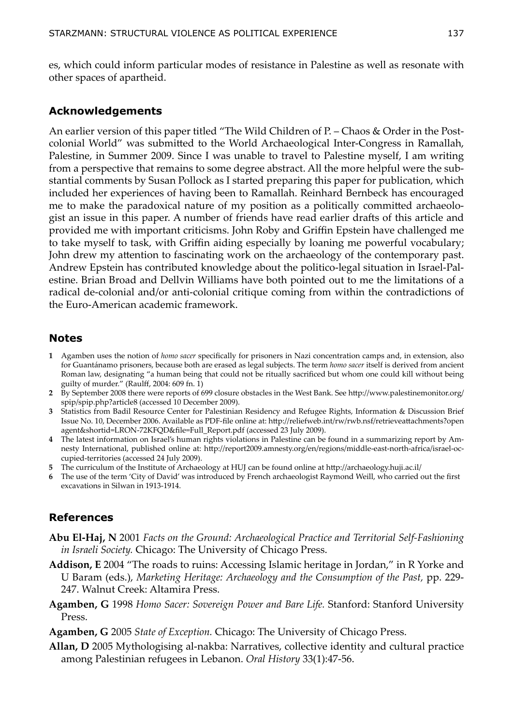es, which could inform particular modes of resistance in Palestine as well as resonate with other spaces of apartheid.

#### **Acknowledgements**

An earlier version of this paper titled "The Wild Children of P. – Chaos & Order in the Postcolonial World" was submitted to the World Archaeological Inter-Congress in Ramallah, Palestine, in Summer 2009. Since I was unable to travel to Palestine myself, I am writing from a perspective that remains to some degree abstract. All the more helpful were the substantial comments by Susan Pollock as I started preparing this paper for publication, which included her experiences of having been to Ramallah. Reinhard Bernbeck has encouraged me to make the paradoxical nature of my position as a politically committed archaeologist an issue in this paper. A number of friends have read earlier drafts of this article and provided me with important criticisms. John Roby and Griffin Epstein have challenged me to take myself to task, with Griffin aiding especially by loaning me powerful vocabulary; John drew my attention to fascinating work on the archaeology of the contemporary past. Andrew Epstein has contributed knowledge about the politico-legal situation in Israel-Palestine. Brian Broad and Dellvin Williams have both pointed out to me the limitations of a radical de-colonial and/or anti-colonial critique coming from within the contradictions of the Euro-American academic framework.

#### **Notes**

- **1** Agamben uses the notion of *homo sacer* specifically for prisoners in Nazi concentration camps and, in extension, also for Guantánamo prisoners, because both are erased as legal subjects. The term *homo sacer* itself is derived from ancient Roman law, designating "a human being that could not be ritually sacrificed but whom one could kill without being guilty of murder." (Raulff, 2004: 609 fn. 1)
- **2** By September 2008 there were reports of 699 closure obstacles in the West Bank. See http://www.palestinemonitor.org/ spip/spip.php?article8 (accessed 10 December 2009).
- **3** Statistics from Badil Resource Center for Palestinian Residency and Refugee Rights, Information & Discussion Brief Issue No. 10, December 2006. Available as PDF-file online at: http://reliefweb.int/rw/rwb.nsf/retrieveattachments?open agent&shortid=LRON-72KFQD&file=Full\_Report.pdf (accessed 23 July 2009).
- **4** The latest information on Israel's human rights violations in Palestine can be found in a summarizing report by Amnesty International, published online at: http://report2009.amnesty.org/en/regions/middle-east-north-africa/israel-occupied-territories (accessed 24 July 2009).
- **5** The curriculum of the Institute of Archaeology at HUJ can be found online at http://archaeology.huji.ac.il/
- **6** The use of the term 'City of David' was introduced by French archaeologist Raymond Weill, who carried out the first excavations in Silwan in 1913-1914.

## **References**

- **Abu El-Haj, N** 2001 *Facts on the Ground: Archaeological Practice and Territorial Self-Fashioning in Israeli Society.* Chicago: The University of Chicago Press.
- **Addison, E** 2004 "The roads to ruins: Accessing Islamic heritage in Jordan," in R Yorke and U Baram (eds.), *Marketing Heritage: Archaeology and the Consumption of the Past,* pp. 229- 247. Walnut Creek: Altamira Press.
- **Agamben, G** 1998 *Homo Sacer: Sovereign Power and Bare Life.* Stanford: Stanford University Press.
- **Agamben, G** 2005 *State of Exception.* Chicago: The University of Chicago Press.
- **Allan, D** 2005 Mythologising al-nakba: Narratives, collective identity and cultural practice among Palestinian refugees in Lebanon. *Oral History* 33(1):47-56.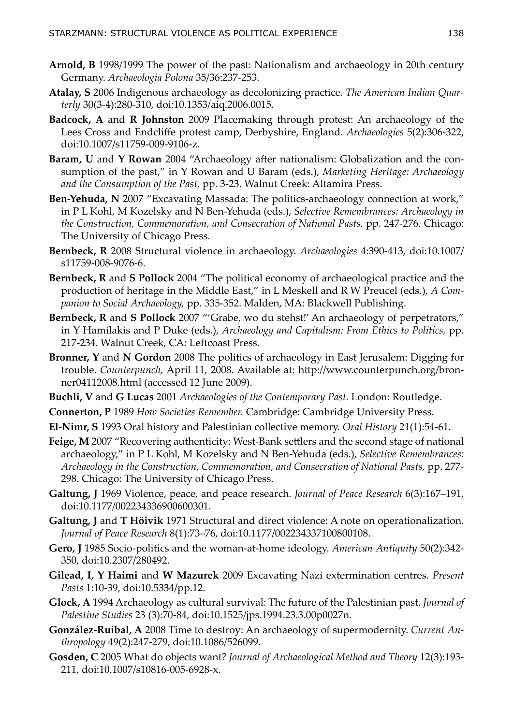- **Arnold, B** 1998/1999 The power of the past: Nationalism and archaeology in 20th century Germany. *Archaeologia Polona* 35/36:237-253.
- **Atalay, S** 2006 Indigenous archaeology as decolonizing practice. *The American Indian Quarterly* 30(3-4):280-310, [doi:10.1353/aiq.2006.0015.](http://dx.doi.org/10.1353/aiq.2006.0015)
- **Badcock, A** and **R Johnston** 2009 Placemaking through protest: An archaeology of the Lees Cross and Endcliffe protest camp, Derbyshire, England. *Archaeologies* 5(2):306-322, [doi:10.1007/s11759-009-9106-z](http://dx.doi.org/10.1007/s11759-009-9106-z).
- **Baram, U** and **Y Rowan** 2004 "Archaeology after nationalism: Globalization and the consumption of the past," in Y Rowan and U Baram (eds.), *Marketing Heritage: Archaeology and the Consumption of the Past,* pp. 3-23. Walnut Creek: Altamira Press.
- **Ben-Yehuda, N** 2007 "Excavating Massada: The politics-archaeology connection at work," in P L Kohl, M Kozelsky and N Ben-Yehuda (eds.), *Selective Remembrances: Archaeology in the Construction, Commemoration, and Consecration of National Pasts,* pp. 247-276. Chicago: The University of Chicago Press.
- **Bernbeck, R** 2008 Structural violence in archaeology. *Archaeologies* 4:390-413, [doi:10.1007/](http://dx.doi.org/10.1007/s11759-008-9076-6) [s11759-008-9076-6.](http://dx.doi.org/10.1007/s11759-008-9076-6)
- **Bernbeck, R** and **S Pollock** 2004 "The political economy of archaeological practice and the production of heritage in the Middle East," in L Meskell and R W Preucel (eds.), *A Companion to Social Archaeology,* pp. 335-352. Malden, MA: Blackwell Publishing.
- **Bernbeck, R** and **S Pollock** 2007 "'Grabe, wo du stehst!' An archaeology of perpetrators," in Y Hamilakis and P Duke (eds.), *Archaeology and Capitalism: From Ethics to Politics,* pp. 217-234. Walnut Creek, CA: Leftcoast Press.
- **Bronner, Y** and **N Gordon** 2008 The politics of archaeology in East Jerusalem: Digging for trouble. *Counterpunch,* April 11, 2008. Available at: http://www.counterpunch.org/bronner04112008.html (accessed 12 June 2009).
- **Buchli, V** and **G Lucas** 2001 *Archaeologies of the Contemporary Past.* London: Routledge.
- **Connerton, P** 1989 *How Societies Remember.* Cambridge: Cambridge University Press.
- **El-Nimr, S** 1993 Oral history and Palestinian collective memory. *Oral History* 21(1):54-61.
- **Feige, M** 2007 "Recovering authenticity: West-Bank settlers and the second stage of national archaeology," in P L Kohl, M Kozelsky and N Ben-Yehuda (eds.), *Selective Remembrances: Archaeology in the Construction, Commemoration, and Consecration of National Pasts,* pp. 277- 298. Chicago: The University of Chicago Press.
- **Galtung, J** 1969 Violence, peace, and peace research. *Journal of Peace Research* 6(3):167–191, doi[:10.1177/002234336900600301](http://dx.doi.org/10.1177/002234336900600301).
- **Galtung, J** and **T Höivik** 1971 Structural and direct violence: A note on operationalization. *Journal of Peace Research* 8(1):73–76, doi[:10.1177/002234337100800108](http://dx.doi.org/10.1177/002234337100800108).
- **Gero, J** 1985 Socio-politics and the woman-at-home ideology. *American Antiquity* 50(2):342- 350, [doi:10.2307/280492](http://dx.doi.org/10.2307/280492).
- **Gilead, I, Y Haimi** and **W Mazurek** 2009 Excavating Nazi extermination centres. *Present Pasts* 1:10-39, [doi:10.5334/pp.12](http://dx.doi.org/doi:10.5334/pp.12).
- **Glock, A** 1994 Archaeology as cultural survival: The future of the Palestinian past. *Journal of Palestine Studies* 23 (3):70-84, [doi:10.1525/jps.1994.23.3.00p0027n](http://dx.doi.org/10.1525/jps.1994.23.3.00p0027n).
- **González-Ruibal, A** 2008 Time to destroy: An archaeology of supermodernity. *Current Anthropology* 49(2):247-279, [doi:10.1086/526099.](http://dx.doi.org/10.1086/526099)
- **Gosden, C** 2005 What do objects want? *Journal of Archaeological Method and Theory* 12(3):193- 211, [doi:10.1007/s10816-005-6928-x](http://dx.doi.org/10.1007/s10816-005-6928-x).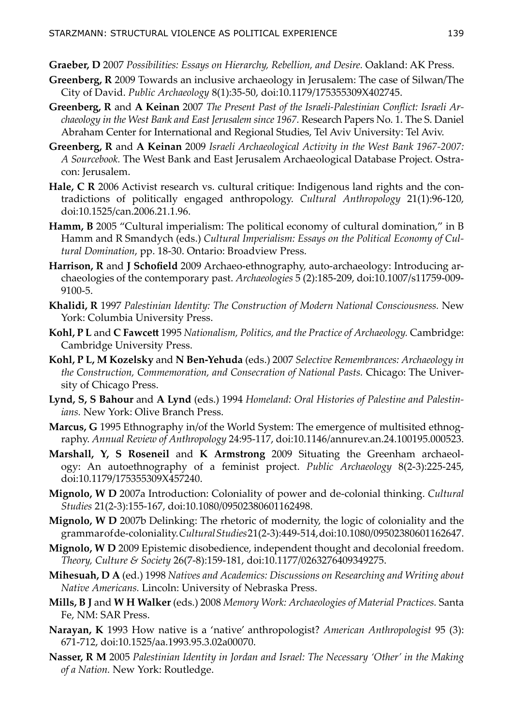- **Graeber, D** 2007 *Possibilities: Essays on Hierarchy, Rebellion, and Desire.* Oakland: AK Press.
- **Greenberg, R** 2009 Towards an inclusive archaeology in Jerusalem: The case of Silwan/The City of David. *Public Archaeology* 8(1):35-50, [doi:10.1179/175355309X402745](http://dx.doi.org/10.1179/175355309X402745).
- **Greenberg, R** and **A Keinan** 2007 *The Present Past of the Israeli-Palestinian Conflict: Israeli Archaeology in the West Bank and East Jerusalem since 1967.* Research Papers No. 1. The S. Daniel Abraham Center for International and Regional Studies, Tel Aviv University: Tel Aviv.
- **Greenberg, R** and **A Keinan** 2009 *Israeli Archaeological Activity in the West Bank 1967-2007: A Sourcebook.* The West Bank and East Jerusalem Archaeological Database Project. Ostracon: Jerusalem.
- **Hale, C R** 2006 Activist research vs. cultural critique: Indigenous land rights and the contradictions of politically engaged anthropology. *Cultural Anthropology* 21(1):96-120, [doi:10.1525/can.2006.21.1.96](http://dx.doi.org/10.1525/can.2006.21.1.96).
- **Hamm, B** 2005 "Cultural imperialism: The political economy of cultural domination," in B Hamm and R Smandych (eds.) *Cultural Imperialism: Essays on the Political Economy of Cultural Domination*, pp. 18-30. Ontario: Broadview Press.
- **Harrison, R** and **J Schofield** 2009 Archaeo-ethnography, auto-archaeology: Introducing archaeologies of the contemporary past. *Archaeologies* 5 (2):185-209, [doi:10.1007/s11759-009-](http://dx.doi.org/10.1007/s11759-009-9100-5) [9100-5.](http://dx.doi.org/10.1007/s11759-009-9100-5)
- **Khalidi, R** 1997 *Palestinian Identity: The Construction of Modern National Consciousness.* New York: Columbia University Press.
- **Kohl, P L** and **C Fawcett** 1995 *Nationalism, Politics, and the Practice of Archaeology.* Cambridge: Cambridge University Press.
- **Kohl, P L, M Kozelsky** and **N Ben-Yehuda** (eds.) 2007 *Selective Remembrances: Archaeology in the Construction, Commemoration, and Consecration of National Pasts.* Chicago: The University of Chicago Press.
- **Lynd, S, S Bahour** and **A Lynd** (eds.) 1994 *Homeland: Oral Histories of Palestine and Palestinians.* New York: Olive Branch Press.
- **Marcus, G** 1995 Ethnography in/of the World System: The emergence of multisited ethnography. *Annual Review of Anthropology* 24:95-117, [doi:10.1146/annurev.an.24.100195.000523.](http://dx.doi.org/10.1146/annurev.an.24.100195.000523)
- **Marshall, Y, S Roseneil** and **K Armstrong** 2009 Situating the Greenham archaeology: An autoethnography of a feminist project. *Public Archaeology* 8(2-3):225-245, [doi:10.1179/175355309X457240](http://dx.doi.org/10.1179/175355309X457240).
- **Mignolo, W D** 2007a Introduction: Coloniality of power and de-colonial thinking. *Cultural Studies* 21(2-3):155-167, [doi:10.1080/09502380601162498](http://dx.doi.org/10.1080/09502380601162498).
- **Mignolo, W D** 2007b Delinking: The rhetoric of modernity, the logic of coloniality and the grammar of de-coloniality. *Cultural Studies* 21(2-3):449-514, [doi:10.1080/09502380601162647.](http://dx.doi.org/10.1080/09502380601162647)
- **Mignolo, W D** 2009 Epistemic disobedience, independent thought and decolonial freedom. *Theory, Culture & Society* 26(7-8):159-181, [doi:10.1177/0263276409349275.](http://dx.doi.org/10.1177/0263276409349275)
- **Mihesuah, D A** (ed.) 1998 *Natives and Academics: Discussions on Researching and Writing about Native Americans.* Lincoln: University of Nebraska Press.
- **Mills, B J** and **W H Walker** (eds.) 2008 *Memory Work: Archaeologies of Material Practices.* Santa Fe, NM: SAR Press.
- **Narayan, K** 1993 How native is a 'native' anthropologist? *American Anthropologist* 95 (3): 671-712, [doi:10.1525/aa.1993.95.3.02a00070](http://dx.doi.org/10.1525/aa.1993.95.3.02a00070).
- **Nasser, R M** 2005 *Palestinian Identity in Jordan and Israel: The Necessary 'Other' in the Making of a Nation.* New York: Routledge.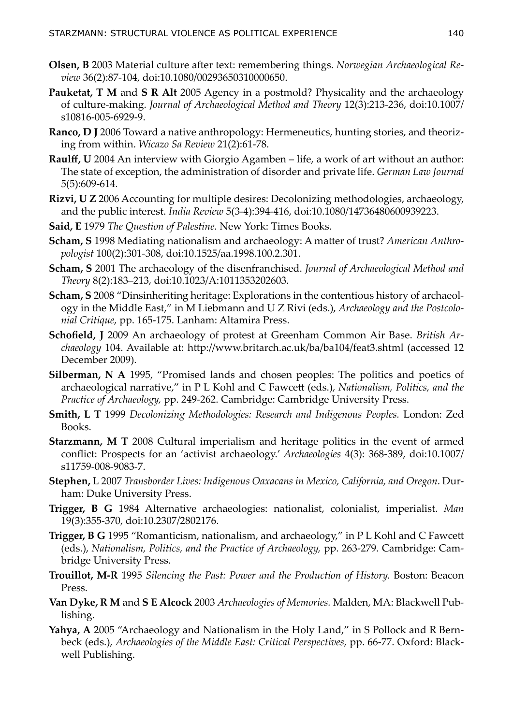- **Olsen, B** 2003 Material culture after text: remembering things. *Norwegian Archaeological Review* 36(2):87-104, [doi:10.1080/00293650310000650.](http://dx.doi.org/10.1080/00293650310000650)
- **Pauketat, T M** and **S R Alt** 2005 Agency in a postmold? Physicality and the archaeology of culture-making. *Journal of Archaeological Method and Theory* 12(3):213-236, [doi:10.1007/](http://dx.doi.org/10.1007/s10816-005-6929-9) [s10816-005-6929-9.](http://dx.doi.org/10.1007/s10816-005-6929-9)
- **Ranco, D J** 2006 Toward a native anthropology: Hermeneutics, hunting stories, and theorizing from within. *Wicazo Sa Review* 21(2):61-78.
- **Raulff, U** 2004 An interview with Giorgio Agamben life, a work of art without an author: The state of exception, the administration of disorder and private life. *German Law Journal* 5(5):609-614.
- **Rizvi, U Z** 2006 Accounting for multiple desires: Decolonizing methodologies, archaeology, and the public interest. *India Review* 5(3-4):394-416, [doi:10.1080/14736480600939223.](http://dx.doi.org/10.1080/14736480600939223)
- **Said, E** 1979 *The Question of Palestine.* New York: Times Books.
- **Scham, S** 1998 Mediating nationalism and archaeology: A matter of trust? *American Anthropologist* 100(2):301-308, [doi:10.1525/aa.1998.100.2.301](http://dx.doi.org/10.1525/aa.1998.100.2.301).
- **Scham, S** 2001 The archaeology of the disenfranchised. *Journal of Archaeological Method and Theory* 8(2):183–213, [doi:10.1023/A:1011353202603](http://dx.doi.org/10.1023/A:1011353202603).
- **Scham, S** 2008 "Dinsinheriting heritage: Explorations in the contentious history of archaeology in the Middle East," in M Liebmann and U Z Rivi (eds.), *Archaeology and the Postcolonial Critique,* pp. 165-175. Lanham: Altamira Press.
- **Schofield, J** 2009 An archaeology of protest at Greenham Common Air Base. *British Archaeology* 104. Available at: <http://www.britarch.ac.uk/ba/ba104/feat3.shtml>(accessed 12 December 2009).
- **Silberman, N A** 1995, "Promised lands and chosen peoples: The politics and poetics of archaeological narrative," in P L Kohl and C Fawcett (eds.), *Nationalism, Politics, and the Practice of Archaeology,* pp. 249-262. Cambridge: Cambridge University Press.
- **Smith, L T** 1999 *Decolonizing Methodologies: Research and Indigenous Peoples.* London: Zed Books.
- **Starzmann, M T** 2008 Cultural imperialism and heritage politics in the event of armed conflict: Prospects for an 'activist archaeology.' *Archaeologies* 4(3): 368-389, [doi:10.1007/](http://dx.doi.org/10.1007/s11759-008-9083-7) [s11759-008-9083-7.](http://dx.doi.org/10.1007/s11759-008-9083-7)
- **Stephen, L** 2007 *Transborder Lives: Indigenous Oaxacans in Mexico, California, and Oregon*. Durham: Duke University Press.
- **Trigger, B G** 1984 Alternative archaeologies: nationalist, colonialist, imperialist. *Man* 19(3):355-370, [doi:10.2307/2802176](http://dx.doi.org/10.2307/2802176).
- **Trigger, B G** 1995 "Romanticism, nationalism, and archaeology," in P L Kohl and C Fawcett (eds.), *Nationalism, Politics, and the Practice of Archaeology,* pp. 263-279. Cambridge: Cambridge University Press.
- **Trouillot, M-R** 1995 *Silencing the Past: Power and the Production of History.* Boston: Beacon Press.
- **Van Dyke, R M** and **S E Alcock** 2003 *Archaeologies of Memories.* Malden, MA: Blackwell Publishing.
- **Yahya, A** 2005 "Archaeology and Nationalism in the Holy Land," in S Pollock and R Bernbeck (eds.), *Archaeologies of the Middle East: Critical Perspectives,* pp. 66-77. Oxford: Blackwell Publishing.